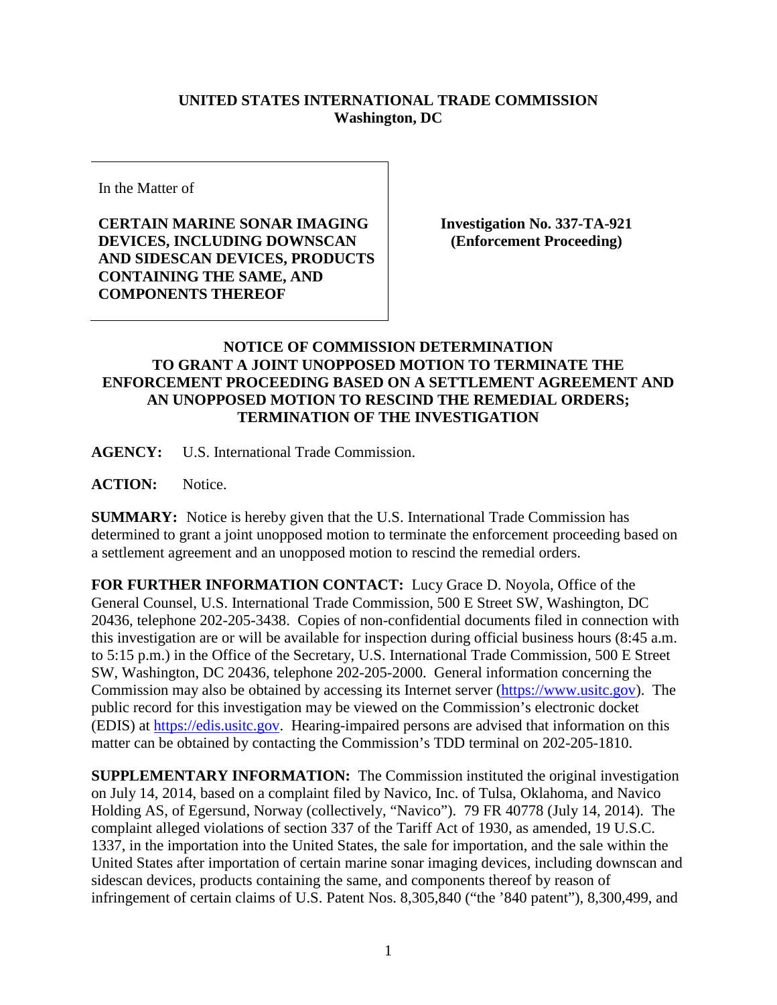## **UNITED STATES INTERNATIONAL TRADE COMMISSION Washington, DC**

In the Matter of

**CERTAIN MARINE SONAR IMAGING DEVICES, INCLUDING DOWNSCAN AND SIDESCAN DEVICES, PRODUCTS CONTAINING THE SAME, AND COMPONENTS THEREOF**

**Investigation No. 337-TA-921 (Enforcement Proceeding)**

## **NOTICE OF COMMISSION DETERMINATION TO GRANT A JOINT UNOPPOSED MOTION TO TERMINATE THE ENFORCEMENT PROCEEDING BASED ON A SETTLEMENT AGREEMENT AND AN UNOPPOSED MOTION TO RESCIND THE REMEDIAL ORDERS; TERMINATION OF THE INVESTIGATION**

**AGENCY:** U.S. International Trade Commission.

ACTION: Notice.

**SUMMARY:** Notice is hereby given that the U.S. International Trade Commission has determined to grant a joint unopposed motion to terminate the enforcement proceeding based on a settlement agreement and an unopposed motion to rescind the remedial orders.

**FOR FURTHER INFORMATION CONTACT:** Lucy Grace D. Noyola, Office of the General Counsel, U.S. International Trade Commission, 500 E Street SW, Washington, DC 20436, telephone 202-205-3438. Copies of non-confidential documents filed in connection with this investigation are or will be available for inspection during official business hours (8:45 a.m. to 5:15 p.m.) in the Office of the Secretary, U.S. International Trade Commission, 500 E Street SW, Washington, DC 20436, telephone 202-205-2000. General information concerning the Commission may also be obtained by accessing its Internet server [\(https://www.usitc.gov\)](https://www.usitc.gov/). The public record for this investigation may be viewed on the Commission's electronic docket (EDIS) at [https://edis.usitc.gov.](https://edis.usitc.gov/) Hearing-impaired persons are advised that information on this matter can be obtained by contacting the Commission's TDD terminal on 202-205-1810.

**SUPPLEMENTARY INFORMATION:** The Commission instituted the original investigation on July 14, 2014, based on a complaint filed by Navico, Inc. of Tulsa, Oklahoma, and Navico Holding AS, of Egersund, Norway (collectively, "Navico"). 79 FR 40778 (July 14, 2014). The complaint alleged violations of section 337 of the Tariff Act of 1930, as amended, 19 U.S.C. 1337, in the importation into the United States, the sale for importation, and the sale within the United States after importation of certain marine sonar imaging devices, including downscan and sidescan devices, products containing the same, and components thereof by reason of infringement of certain claims of U.S. Patent Nos. 8,305,840 ("the '840 patent"), 8,300,499, and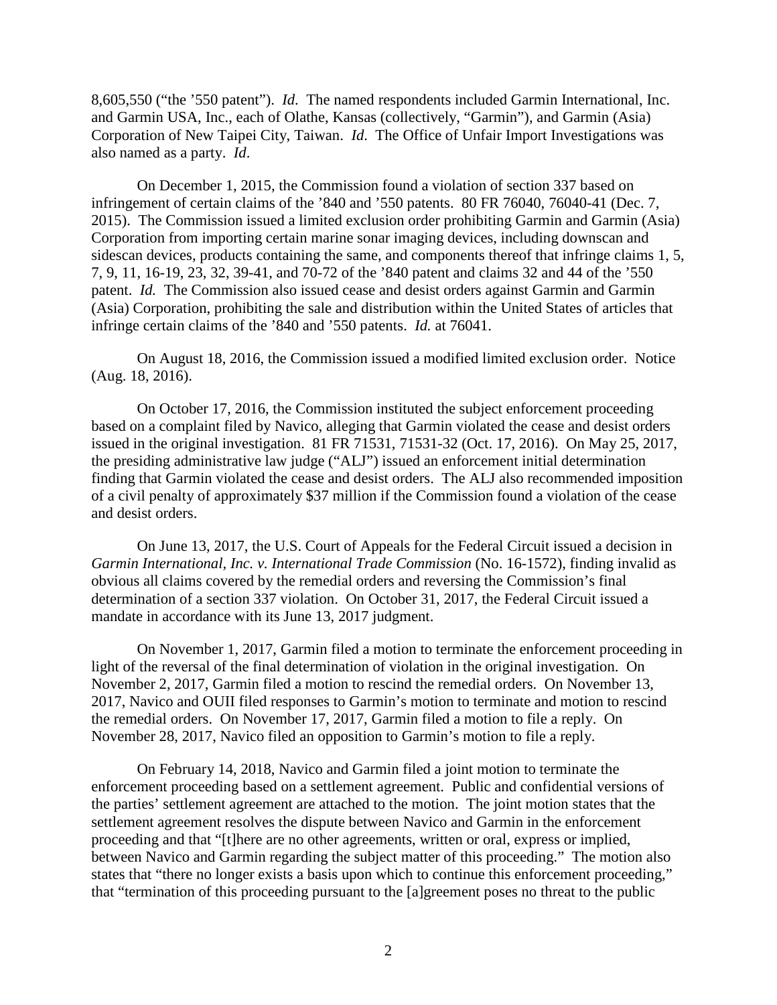8,605,550 ("the '550 patent"). *Id*. The named respondents included Garmin International, Inc. and Garmin USA, Inc., each of Olathe, Kansas (collectively, "Garmin"), and Garmin (Asia) Corporation of New Taipei City, Taiwan. *Id*. The Office of Unfair Import Investigations was also named as a party. *Id*.

On December 1, 2015, the Commission found a violation of section 337 based on infringement of certain claims of the '840 and '550 patents. 80 FR 76040, 76040-41 (Dec. 7, 2015). The Commission issued a limited exclusion order prohibiting Garmin and Garmin (Asia) Corporation from importing certain marine sonar imaging devices, including downscan and sidescan devices, products containing the same, and components thereof that infringe claims 1, 5, 7, 9, 11, 16-19, 23, 32, 39-41, and 70-72 of the '840 patent and claims 32 and 44 of the '550 patent. *Id.* The Commission also issued cease and desist orders against Garmin and Garmin (Asia) Corporation, prohibiting the sale and distribution within the United States of articles that infringe certain claims of the '840 and '550 patents. *Id.* at 76041.

On August 18, 2016, the Commission issued a modified limited exclusion order. Notice (Aug. 18, 2016).

On October 17, 2016, the Commission instituted the subject enforcement proceeding based on a complaint filed by Navico, alleging that Garmin violated the cease and desist orders issued in the original investigation. 81 FR 71531, 71531-32 (Oct. 17, 2016). On May 25, 2017, the presiding administrative law judge ("ALJ") issued an enforcement initial determination finding that Garmin violated the cease and desist orders. The ALJ also recommended imposition of a civil penalty of approximately \$37 million if the Commission found a violation of the cease and desist orders.

On June 13, 2017, the U.S. Court of Appeals for the Federal Circuit issued a decision in *Garmin International, Inc. v. International Trade Commission* (No. 16-1572), finding invalid as obvious all claims covered by the remedial orders and reversing the Commission's final determination of a section 337 violation. On October 31, 2017, the Federal Circuit issued a mandate in accordance with its June 13, 2017 judgment.

On November 1, 2017, Garmin filed a motion to terminate the enforcement proceeding in light of the reversal of the final determination of violation in the original investigation. On November 2, 2017, Garmin filed a motion to rescind the remedial orders. On November 13, 2017, Navico and OUII filed responses to Garmin's motion to terminate and motion to rescind the remedial orders. On November 17, 2017, Garmin filed a motion to file a reply. On November 28, 2017, Navico filed an opposition to Garmin's motion to file a reply.

On February 14, 2018, Navico and Garmin filed a joint motion to terminate the enforcement proceeding based on a settlement agreement. Public and confidential versions of the parties' settlement agreement are attached to the motion. The joint motion states that the settlement agreement resolves the dispute between Navico and Garmin in the enforcement proceeding and that "[t]here are no other agreements, written or oral, express or implied, between Navico and Garmin regarding the subject matter of this proceeding." The motion also states that "there no longer exists a basis upon which to continue this enforcement proceeding," that "termination of this proceeding pursuant to the [a]greement poses no threat to the public